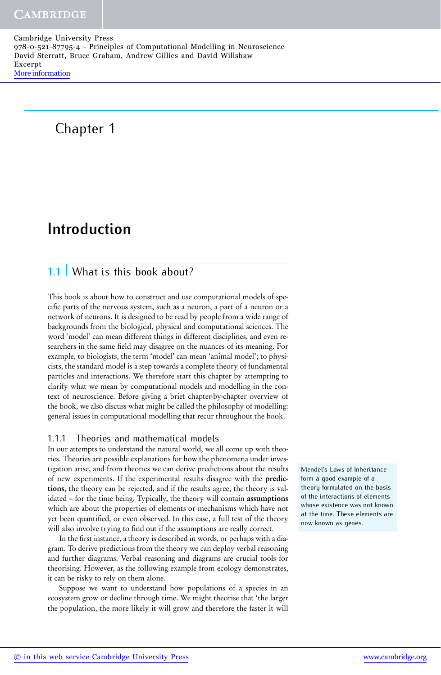Chapter 1

# **Introduction**

# 1.1 What is this book about?

This book is about how to construct and use computational models of specific parts of the nervous system, such as a neuron, a part of a neuron or a network of neurons. It is designed to be read by people from a wide range of backgrounds from the biological, physical and computational sciences. The word 'model' can mean different things in different disciplines, and even researchers in the same field may disagree on the nuances of its meaning. For example, to biologists, the term 'model' can mean 'animal model'; to physicists, the standard model is a step towards a complete theory of fundamental particles and interactions. We therefore start this chapter by attempting to clarify what we mean by computational models and modelling in the context of neuroscience. Before giving a brief chapter-by-chapter overview of the book, we also discuss what might be called the philosophy of modelling: general issues in computational modelling that recur throughout the book.

## 1.1.1 Theories and mathematical models

In our attempts to understand the natural world, we all come up with theories. Theories are possible explanations for how the phenomena under investigation arise, and from theories we can derive predictions about the results of new experiments. If the experimental results disagree with the predictions, the theory can be rejected, and if the results agree, the theory is validated – for the time being. Typically, the theory will contain assumptions which are about the properties of elements or mechanisms which have not yet been quantified, or even observed. In this case, a full test of the theory will also involve trying to find out if the assumptions are really correct.

In the first instance, a theory is described in words, or perhaps with a diagram. To derive predictions from the theory we can deploy verbal reasoning and further diagrams. Verbal reasoning and diagrams are crucial tools for theorising. However, as the following example from ecology demonstrates, it can be risky to rely on them alone.

Suppose we want to understand how populations of a species in an ecosystem grow or decline through time. We might theorise that 'the larger the population, the more likely it will grow and therefore the faster it will

Mendel's Laws of Inheritance form a good example of a theory formulated on the basis of the interactions of elements whose existence was not known at the time. These elements are now known as genes.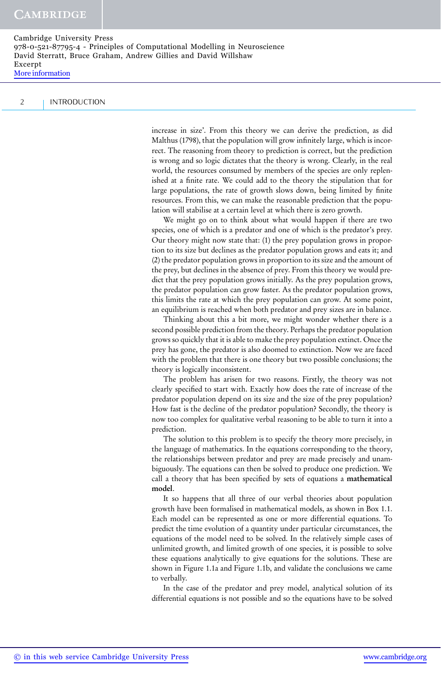#### 2 | INTRODUCTION

increase in size'. From this theory we can derive the prediction, as did Malthus (1798), that the population will grow infinitely large, which is incorrect. The reasoning from theory to prediction is correct, but the prediction is wrong and so logic dictates that the theory is wrong. Clearly, in the real world, the resources consumed by members of the species are only replenished at a finite rate. We could add to the theory the stipulation that for large populations, the rate of growth slows down, being limited by finite resources. From this, we can make the reasonable prediction that the population will stabilise at a certain level at which there is zero growth.

We might go on to think about what would happen if there are two species, one of which is a predator and one of which is the predator's prey. Our theory might now state that: (1) the prey population grows in proportion to its size but declines as the predator population grows and eats it; and (2) the predator population grows in proportion to its size and the amount of the prey, but declines in the absence of prey. From this theory we would predict that the prey population grows initially. As the prey population grows, the predator population can grow faster. As the predator population grows, this limits the rate at which the prey population can grow. At some point, an equilibrium is reached when both predator and prey sizes are in balance.

Thinking about this a bit more, we might wonder whether there is a second possible prediction from the theory. Perhaps the predator population grows so quickly that it is able to make the prey population extinct. Once the prey has gone, the predator is also doomed to extinction. Now we are faced with the problem that there is one theory but two possible conclusions; the theory is logically inconsistent.

The problem has arisen for two reasons. Firstly, the theory was not clearly specified to start with. Exactly how does the rate of increase of the predator population depend on its size and the size of the prey population? How fast is the decline of the predator population? Secondly, the theory is now too complex for qualitative verbal reasoning to be able to turn it into a prediction.

The solution to this problem is to specify the theory more precisely, in the language of mathematics. In the equations corresponding to the theory, the relationships between predator and prey are made precisely and unambiguously. The equations can then be solved to produce one prediction. We call a theory that has been specified by sets of equations a mathematical model.

It so happens that all three of our verbal theories about population growth have been formalised in mathematical models, as shown in Box 1.1. Each model can be represented as one or more differential equations. To predict the time evolution of a quantity under particular circumstances, the equations of the model need to be solved. In the relatively simple cases of unlimited growth, and limited growth of one species, it is possible to solve these equations analytically to give equations for the solutions. These are shown in Figure 1.1a and Figure 1.1b, and validate the conclusions we came to verbally.

In the case of the predator and prey model, analytical solution of its differential equations is not possible and so the equations have to be solved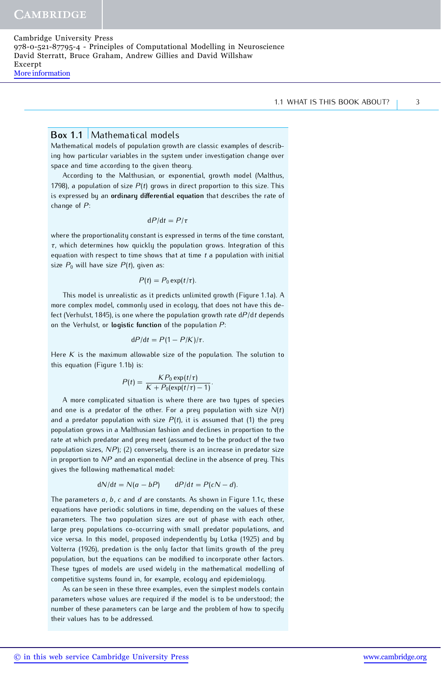1.1 WHAT IS THIS BOOK ABOUT? | 3

## **Box 1.1** Mathematical models

Mathematical models of population growth are classic examples of describing how particular variables in the system under investigation change over space and time according to the given theory.

According to the Malthusian, or exponential, growth model (Malthus, 1798), a population of size *P*(*t*) grows in direct proportion to this size. This is expressed by an **ordinary differential equation** that describes the rate of change of *P*:

$$
dP/dt = P/\tau
$$

where the proportionality constant is expressed in terms of the time constant, *τ*, which determines how quickly the population grows. Integration of this equation with respect to time shows that at time *t* a population with initial size  $P_0$  will have size  $P(t)$ , given as:

$$
P(t) = P_0 \exp(t/\tau).
$$

This model is unrealistic as it predicts unlimited growth (Figure 1.1a). A more complex model, commonly used in ecology, that does not have this defect (Verhulst, 1845), is one where the population growth rate d*P/*d*t* depends on the Verhulst, or **logistic function** of the population *P*:

$$
dP/dt = P(1 - P/K)/\tau.
$$

Here  $K$  is the maximum allowable size of the population. The solution to this equation (Figure 1.1b) is:

$$
P(t) = \frac{KP_0 \exp(t/\tau)}{K + P_0(\exp(t/\tau) - 1)}.
$$

A more complicated situation is where there are two types of species and one is a predator of the other. For a prey population with size *N*(*t*) and a predator population with size  $P(t)$ , it is assumed that (1) the prey population grows in a Malthusian fashion and declines in proportion to the rate at which predator and prey meet (assumed to be the product of the two population sizes, *NP*); (2) conversely, there is an increase in predator size in proportion to *NP* and an exponential decline in the absence of prey. This gives the following mathematical model:

$$
dN/dt = N(a - bP) \qquad dP/dt = P(cN - d).
$$

The parameters *a*, *b*, *c* and *d* are constants. As shown in Figure 1.1c, these equations have periodic solutions in time, depending on the values of these parameters. The two population sizes are out of phase with each other, large prey populations co-occurring with small predator populations, and vice versa. In this model, proposed independently by Lotka (1925) and by Volterra (1926), predation is the only factor that limits growth of the prey population, but the equations can be modified to incorporate other factors. These types of models are used widely in the mathematical modelling of competitive systems found in, for example, ecology and epidemiology.

As can be seen in these three examples, even the simplest models contain parameters whose values are required if the model is to be understood; the number of these parameters can be large and the problem of how to specify their values has to be addressed.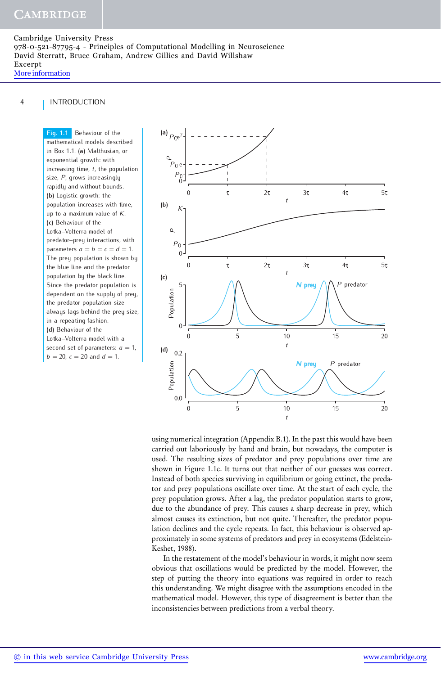## 4 INTRODUCTION

**Fig. 1.1** Behaviour of the mathematical models described in Box 1.1. **(a)** Malthusian, or exponential growth: with increasing time, *t*, the population size, *P*, grows increasingly rapidly and without bounds. **(b)** Logistic growth: the population increases with time, up to a maximum value of *K*. **(c)** Behaviour of the Lotka–Volterra model of predator–prey interactions, with parameters  $a = b = c = d = 1$ . The prey population is shown by the blue line and the predator population by the black line. Since the predator population is dependent on the supply of prey, the predator population size always lags behind the prey size, in a repeating fashion. **(d)** Behaviour of the Lotka–Volterra model with a second set of parameters:  $a = 1$ ,  $b = 20$ ,  $c = 20$  and  $d = 1$ .



using numerical integration (Appendix B.1). In the past this would have been carried out laboriously by hand and brain, but nowadays, the computer is used. The resulting sizes of predator and prey populations over time are shown in Figure 1.1c. It turns out that neither of our guesses was correct. Instead of both species surviving in equilibrium or going extinct, the predator and prey populations oscillate over time. At the start of each cycle, the prey population grows. After a lag, the predator population starts to grow, due to the abundance of prey. This causes a sharp decrease in prey, which almost causes its extinction, but not quite. Thereafter, the predator population declines and the cycle repeats. In fact, this behaviour is observed approximately in some systems of predators and prey in ecosystems (Edelstein-Keshet, 1988).

In the restatement of the model's behaviour in words, it might now seem obvious that oscillations would be predicted by the model. However, the step of putting the theory into equations was required in order to reach this understanding. We might disagree with the assumptions encoded in the mathematical model. However, this type of disagreement is better than the inconsistencies between predictions from a verbal theory.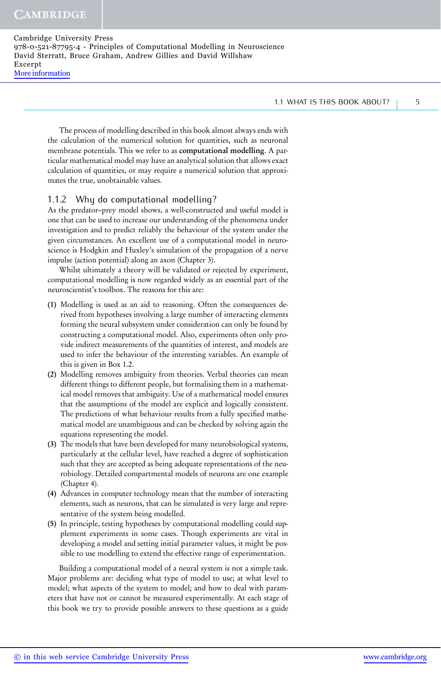1.1 WHAT IS THIS BOOK ABOUT? | 5

The process of modelling described in this book almost always ends with the calculation of the numerical solution for quantities, such as neuronal membrane potentials. This we refer to as computational modelling. A particular mathematical model may have an analytical solution that allows exact calculation of quantities, or may require a numerical solution that approximates the true, unobtainable values.

## 1.1.2 Why do computational modelling?

As the predator–prey model shows, a well-constructed and useful model is one that can be used to increase our understanding of the phenomena under investigation and to predict reliably the behaviour of the system under the given circumstances. An excellent use of a computational model in neuroscience is Hodgkin and Huxley's simulation of the propagation of a nerve impulse (action potential) along an axon (Chapter 3).

Whilst ultimately a theory will be validated or rejected by experiment, computational modelling is now regarded widely as an essential part of the neuroscientist's toolbox. The reasons for this are:

- (1) Modelling is used as an aid to reasoning. Often the consequences derived from hypotheses involving a large number of interacting elements forming the neural subsystem under consideration can only be found by constructing a computational model. Also, experiments often only provide indirect measurements of the quantities of interest, and models are used to infer the behaviour of the interesting variables. An example of this is given in Box 1.2.
- (2) Modelling removes ambiguity from theories. Verbal theories can mean different things to different people, but formalising them in a mathematical model removes that ambiguity. Use of a mathematical model ensures that the assumptions of the model are explicit and logically consistent. The predictions of what behaviour results from a fully specified mathematical model are unambiguous and can be checked by solving again the equations representing the model.
- (3) The models that have been developed for many neurobiological systems, particularly at the cellular level, have reached a degree of sophistication such that they are accepted as being adequate representations of the neurobiology. Detailed compartmental models of neurons are one example (Chapter 4).
- (4) Advances in computer technology mean that the number of interacting elements, such as neurons, that can be simulated is very large and representative of the system being modelled.
- (5) In principle, testing hypotheses by computational modelling could supplement experiments in some cases. Though experiments are vital in developing a model and setting initial parameter values, it might be possible to use modelling to extend the effective range of experimentation.

Building a computational model of a neural system is not a simple task. Major problems are: deciding what type of model to use; at what level to model; what aspects of the system to model; and how to deal with parameters that have not or cannot be measured experimentally. At each stage of this book we try to provide possible answers to these questions as a guide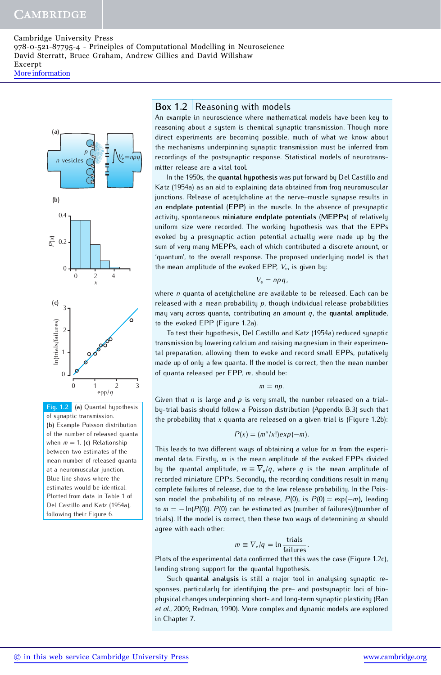

of synaptic transmission. **(b)** Example Poisson distribution of the number of released quanta when  $m = 1$ . (c) Relationship between two estimates of the mean number of released quanta at a neuromuscular junction. Blue line shows where the estimates would be identical. Plotted from data in Table 1 of Del Castillo and Katz (1954a), following their Figure 6.

## Box 1.2 Reasoning with models

An example in neuroscience where mathematical models have been key to reasoning about a system is chemical synaptic transmission. Though more direct experiments are becoming possible, much of what we know about the mechanisms underpinning synaptic transmission must be inferred from recordings of the postsynaptic response. Statistical models of neurotransmitter release are a vital tool.

In the 1950s, the **quantal hypothesis** was put forward by Del Castillo and Katz (1954a) as an aid to explaining data obtained from frog neuromuscular junctions. Release of acetylcholine at the nerve–muscle synapse results in an **endplate potential** (**EPP**) in the muscle. In the absence of presynaptic activity, spontaneous **miniature endplate potentials** (**MEPPs**) of relatively uniform size were recorded. The working hypothesis was that the EPPs evoked by a presynaptic action potential actually were made up by the sum of very many MEPPs, each of which contributed a discrete amount, or 'quantum', to the overall response. The proposed underlying model is that the mean amplitude of the evoked EPP,  $V_{e}$ , is given by:

$$
V_{\rm e} = npq,
$$

where *n* quanta of acetylcholine are available to be released. Each can be released with a mean probability *p*, though individual release probabilities may vary across quanta, contributing an amount *q*, the **quantal amplitude**, to the evoked EPP (Figure 1.2a).

To test their hypothesis, Del Castillo and Katz (1954a) reduced synaptic transmission by lowering calcium and raising magnesium in their experimental preparation, allowing them to evoke and record small EPPs, putatively made up of only a few quanta. If the model is correct, then the mean number of quanta released per EPP, *m*, should be:

$$
m=np.
$$

Given that *n* is large and *p* is very small, the number released on a trialby-trial basis should follow a Poisson distribution (Appendix B.3) such that the probability that *x* quanta are released on a given trial is (Figure 1.2b):

$$
P(x) = (m^x/x!)exp(-m).
$$

This leads to two different ways of obtaining a value for *m* from the experimental data. Firstly, *m* is the mean amplitude of the evoked EPPs divided by the quantal amplitude,  $m \equiv \overline{V}_e/q$ , where  $q$  is the mean amplitude of recorded miniature EPPs. Secondly, the recording conditions result in many complete failures of release, due to the low release probability. In the Poisson model the probability of no release, *P*(0), is *P*(0) = exp(*−m*), leading to *m* = *−* ln(*P*(0)). *P*(0) can be estimated as (number of failures)/(number of trials). If the model is correct, then these two ways of determining *m* should agree with each other:

$$
m \equiv \overline{V}_e/q = \ln \frac{\text{trials}}{\text{failures}}.
$$

Plots of the experimental data confirmed that this was the case (Figure 1.2c), lending strong support for the quantal hypothesis.

Such **quantal analysis** is still a major tool in analysing synaptic responses, particularly for identifying the pre- and postsynaptic loci of biophysical changes underpinning short- and long-term synaptic plasticity (Ran *et al.*, 2009; Redman, 1990). More complex and dynamic models are explored in Chapter 7.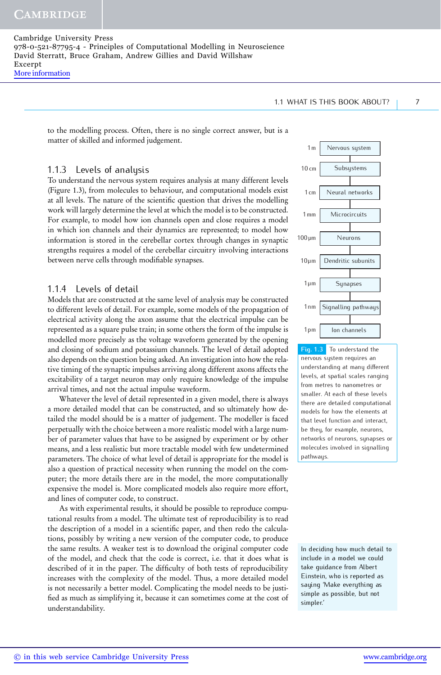to the modelling process. Often, there is no single correct answer, but is a matter of skilled and informed judgement.

## 1.1.3 Levels of analysis

To understand the nervous system requires analysis at many different levels (Figure 1.3), from molecules to behaviour, and computational models exist at all levels. The nature of the scientific question that drives the modelling work will largely determine the level at which the model is to be constructed. For example, to model how ion channels open and close requires a model in which ion channels and their dynamics are represented; to model how information is stored in the cerebellar cortex through changes in synaptic strengths requires a model of the cerebellar circuitry involving interactions between nerve cells through modifiable synapses.

## 1.1.4 Levels of detail

Models that are constructed at the same level of analysis may be constructed to different levels of detail. For example, some models of the propagation of electrical activity along the axon assume that the electrical impulse can be represented as a square pulse train; in some others the form of the impulse is modelled more precisely as the voltage waveform generated by the opening and closing of sodium and potassium channels. The level of detail adopted also depends on the question being asked. An investigation into how the relative timing of the synaptic impulses arriving along different axons affects the excitability of a target neuron may only require knowledge of the impulse arrival times, and not the actual impulse waveform.

Whatever the level of detail represented in a given model, there is always a more detailed model that can be constructed, and so ultimately how detailed the model should be is a matter of judgement. The modeller is faced perpetually with the choice between a more realistic model with a large number of parameter values that have to be assigned by experiment or by other means, and a less realistic but more tractable model with few undetermined parameters. The choice of what level of detail is appropriate for the model is also a question of practical necessity when running the model on the computer; the more details there are in the model, the more computationally expensive the model is. More complicated models also require more effort, and lines of computer code, to construct.

As with experimental results, it should be possible to reproduce computational results from a model. The ultimate test of reproducibility is to read the description of a model in a scientific paper, and then redo the calculations, possibly by writing a new version of the computer code, to produce the same results. A weaker test is to download the original computer code of the model, and check that the code is correct, i.e. that it does what is described of it in the paper. The difficulty of both tests of reproducibility increases with the complexity of the model. Thus, a more detailed model is not necessarily a better model. Complicating the model needs to be justified as much as simplifying it, because it can sometimes come at the cost of understandability.



**Fig. 1.3** To understand the nervous system requires an understanding at many different levels, at spatial scales ranging from metres to nanometres or smaller. At each of these levels there are detailed computational models for how the elements at that level function and interact, be they, for example, neurons, networks of neurons, synapses or molecules involved in signalling pathways.

In deciding how much detail to include in a model we could take guidance from Albert Einstein, who is reported as saying 'Make everything as simple as possible, but not simpler.'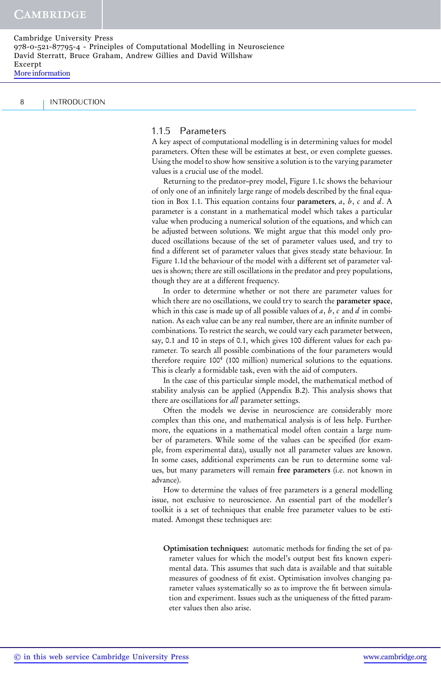#### 8 I INTRODUCTION

### 1.1.5 Parameters

A key aspect of computational modelling is in determining values for model parameters. Often these will be estimates at best, or even complete guesses. Using the model to show how sensitive a solution is to the varying parameter values is a crucial use of the model.

Returning to the predator–prey model, Figure 1.1c shows the behaviour of only one of an infinitely large range of models described by the final equation in Box 1.1. This equation contains four parameters, *a*, *b*, *c* and *d*. A parameter is a constant in a mathematical model which takes a particular value when producing a numerical solution of the equations, and which can be adjusted between solutions. We might argue that this model only produced oscillations because of the set of parameter values used, and try to find a different set of parameter values that gives steady state behaviour. In Figure 1.1d the behaviour of the model with a different set of parameter values is shown; there are still oscillations in the predator and prey populations, though they are at a different frequency.

In order to determine whether or not there are parameter values for which there are no oscillations, we could try to search the parameter space, which in this case is made up of all possible values of *a*, *b*, *c* and *d* in combination. As each value can be any real number, there are an infinite number of combinations. To restrict the search, we could vary each parameter between, say, 0.1 and 10 in steps of 0.1, which gives 100 different values for each parameter. To search all possible combinations of the four parameters would therefore require  $100<sup>4</sup>$  (100 million) numerical solutions to the equations. This is clearly a formidable task, even with the aid of computers.

In the case of this particular simple model, the mathematical method of stability analysis can be applied (Appendix B.2). This analysis shows that there are oscillations for *all* parameter settings.

Often the models we devise in neuroscience are considerably more complex than this one, and mathematical analysis is of less help. Furthermore, the equations in a mathematical model often contain a large number of parameters. While some of the values can be specified (for example, from experimental data), usually not all parameter values are known. In some cases, additional experiments can be run to determine some values, but many parameters will remain free parameters (i.e. not known in advance).

How to determine the values of free parameters is a general modelling issue, not exclusive to neuroscience. An essential part of the modeller's toolkit is a set of techniques that enable free parameter values to be estimated. Amongst these techniques are:

Optimisation techniques: automatic methods for finding the set of parameter values for which the model's output best fits known experimental data. This assumes that such data is available and that suitable measures of goodness of fit exist. Optimisation involves changing parameter values systematically so as to improve the fit between simulation and experiment. Issues such as the uniqueness of the fitted parameter values then also arise.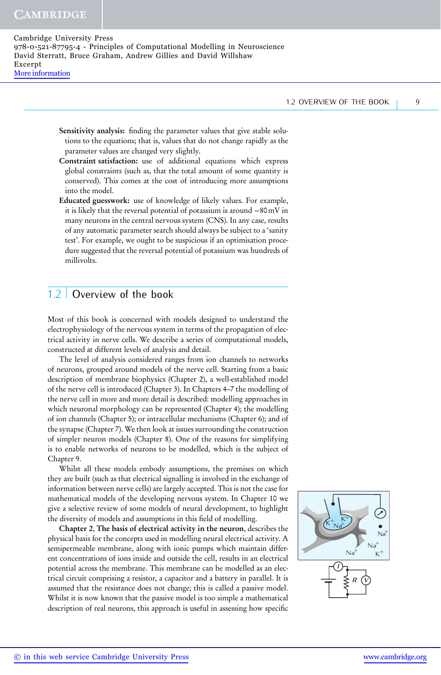1.2 OVERVIEW OF THE BOOK | 9

- Sensitivity analysis: finding the parameter values that give stable solutions to the equations; that is, values that do not change rapidly as the parameter values are changed very slightly.
- Constraint satisfaction: use of additional equations which express global constraints (such as, that the total amount of some quantity is conserved). This comes at the cost of introducing more assumptions into the model.
- Educated guesswork: use of knowledge of likely values. For example, it is likely that the reversal potential of potassium is around −80mV in many neurons in the central nervous system (CNS). In any case, results of any automatic parameter search should always be subject to a 'sanity test'. For example, we ought to be suspicious if an optimisation procedure suggested that the reversal potential of potassium was hundreds of millivolts.

## 1.2 Overview of the book

Most of this book is concerned with models designed to understand the electrophysiology of the nervous system in terms of the propagation of electrical activity in nerve cells. We describe a series of computational models, constructed at different levels of analysis and detail.

The level of analysis considered ranges from ion channels to networks of neurons, grouped around models of the nerve cell. Starting from a basic description of membrane biophysics (Chapter 2), a well-established model of the nerve cell is introduced (Chapter 3). In Chapters 4–7 the modelling of the nerve cell in more and more detail is described: modelling approaches in which neuronal morphology can be represented (Chapter 4); the modelling of ion channels (Chapter 5); or intracellular mechanisms (Chapter 6); and of the synapse (Chapter 7). We then look at issues surrounding the construction of simpler neuron models (Chapter 8). One of the reasons for simplifying is to enable networks of neurons to be modelled, which is the subject of Chapter 9.

Whilst all these models embody assumptions, the premises on which they are built (such as that electrical signalling is involved in the exchange of information between nerve cells) are largely accepted. This is not the case for mathematical models of the developing nervous system. In Chapter 10 we give a selective review of some models of neural development, to highlight the diversity of models and assumptions in this field of modelling.

Chapter 2, The basis of electrical activity in the neuron, describes the physical basis for the concepts used in modelling neural electrical activity. A semipermeable membrane, along with ionic pumps which maintain different concentrations of ions inside and outside the cell, results in an electrical potential across the membrane. This membrane can be modelled as an electrical circuit comprising a resistor, a capacitor and a battery in parallel. It is assumed that the resistance does not change; this is called a passive model. Whilst it is now known that the passive model is too simple a mathematical description of real neurons, this approach is useful in assessing how specific